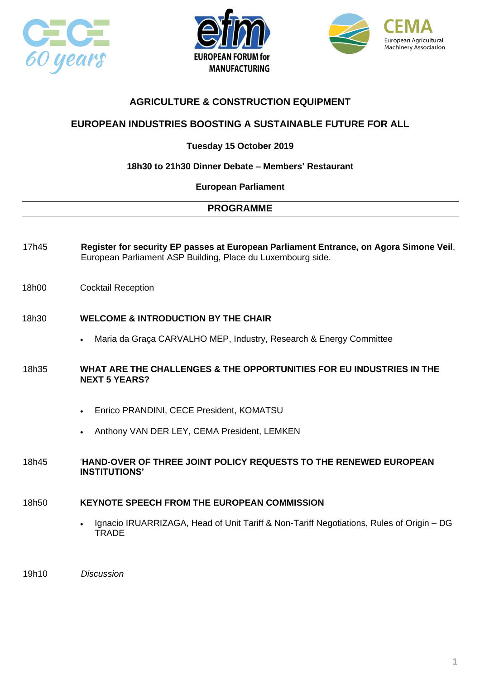





## **AGRICULTURE & CONSTRUCTION EQUIPMENT**

## **EUROPEAN INDUSTRIES BOOSTING A SUSTAINABLE FUTURE FOR ALL**

## **Tuesday 15 October 2019**

### **18h30 to 21h30 Dinner Debate – Members' Restaurant**

#### **European Parliament**

### **PROGRAMME**

- 17h45 **Register for security EP passes at European Parliament Entrance, on Agora Simone Veil**, European Parliament ASP Building, Place du Luxembourg side.
- 18h00 Cocktail Reception
- 18h30 **WELCOME & INTRODUCTION BY THE CHAIR**
	- Maria da Graça CARVALHO MEP, Industry, Research & Energy Committee
- 18h35 **WHAT ARE THE CHALLENGES & THE OPPORTUNITIES FOR EU INDUSTRIES IN THE NEXT 5 YEARS?**
	- Enrico PRANDINI, CECE President, KOMATSU
	- Anthony VAN DER LEY, CEMA President, LEMKEN

#### 18h45 '**HAND-OVER OF THREE JOINT POLICY REQUESTS TO THE RENEWED EUROPEAN INSTITUTIONS'**

### 18h50 **KEYNOTE SPEECH FROM THE EUROPEAN COMMISSION**

• Ignacio IRUARRIZAGA, Head of Unit Tariff & Non-Tariff Negotiations, Rules of Origin – DG **TRADE** 

19h10 *Discussion*